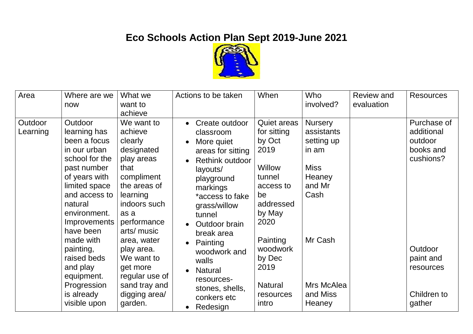## **Eco Schools Action Plan Sept 2019-June 2021**



| Area                | Where are we<br>now                                                                                                                                                                                 | What we<br>want to<br>achieve                                                                                                                                        | Actions to be taken                                                                                                                                                                   | When                                                                                                                      | Who<br>involved?                                                                               | <b>Review and</b><br>evaluation | <b>Resources</b>                                               |
|---------------------|-----------------------------------------------------------------------------------------------------------------------------------------------------------------------------------------------------|----------------------------------------------------------------------------------------------------------------------------------------------------------------------|---------------------------------------------------------------------------------------------------------------------------------------------------------------------------------------|---------------------------------------------------------------------------------------------------------------------------|------------------------------------------------------------------------------------------------|---------------------------------|----------------------------------------------------------------|
| Outdoor<br>Learning | Outdoor<br>learning has<br>been a focus<br>in our urban<br>school for the<br>past number<br>of years with<br>limited space<br>and access to<br>natural<br>environment.<br>Improvements<br>have been | We want to<br>achieve<br>clearly<br>designated<br>play areas<br>that<br>compliment<br>the areas of<br>learning<br>indoors such<br>as a<br>performance<br>arts/ music | Create outdoor<br>classroom<br>More quiet<br>areas for sitting<br>Rethink outdoor<br>layouts/<br>playground<br>markings<br>*access to fake<br>grass/willow<br>tunnel<br>Outdoor brain | <b>Quiet areas</b><br>for sitting<br>by Oct<br>2019<br>Willow<br>tunnel<br>access to<br>be<br>addressed<br>by May<br>2020 | <b>Nursery</b><br>assistants<br>setting up<br>in am<br><b>Miss</b><br>Heaney<br>and Mr<br>Cash |                                 | Purchase of<br>additional<br>outdoor<br>books and<br>cushions? |
|                     | made with<br>painting,<br>raised beds<br>and play<br>equipment.<br>Progression<br>is already<br>visible upon                                                                                        | area, water<br>play area.<br>We want to<br>get more<br>regular use of<br>sand tray and<br>digging area/<br>garden.                                                   | break area<br>Painting<br>$\bullet$<br>woodwork and<br>walls<br><b>Natural</b><br>resources-<br>stones, shells,<br>conkers etc<br>Redesign                                            | Painting<br>woodwork<br>by Dec<br>2019<br><b>Natural</b><br>resources<br>intro                                            | Mr Cash<br>Mrs McAlea<br>and Miss<br>Heaney                                                    |                                 | Outdoor<br>paint and<br>resources<br>Children to<br>gather     |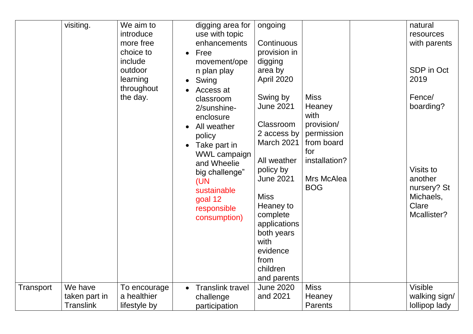|           |                                              | throughout<br>the day.                      | Swing<br>Access at<br>classroom<br>2/sunshine-<br>enclosure<br>All weather<br>policy<br>Take part in<br>WWL campaign<br>and Wheelie<br>big challenge"<br>(UN<br>sustainable<br>goal 12<br>responsible<br>consumption) | April 2020<br>Swing by<br><b>June 2021</b><br>Classroom<br>2 access by<br>March 2021<br>All weather<br>policy by<br><b>June 2021</b><br><b>Miss</b><br>Heaney to<br>complete<br>applications<br>both years<br>with<br>evidence<br>from<br>children<br>and parents | <b>Miss</b><br>Heaney<br>with<br>provision/<br>permission<br>from board<br>for<br>installation?<br>Mrs McAlea<br><b>BOG</b> | 2019<br>Fence/<br>boarding?<br>Visits to<br>another<br>nursery? St<br>Michaels,<br>Clare<br>Mcallister? |
|-----------|----------------------------------------------|---------------------------------------------|-----------------------------------------------------------------------------------------------------------------------------------------------------------------------------------------------------------------------|-------------------------------------------------------------------------------------------------------------------------------------------------------------------------------------------------------------------------------------------------------------------|-----------------------------------------------------------------------------------------------------------------------------|---------------------------------------------------------------------------------------------------------|
| Transport | We have<br>taken part in<br><b>Translink</b> | To encourage<br>a healthier<br>lifestyle by | <b>Translink travel</b><br>challenge<br>participation                                                                                                                                                                 | <b>June 2020</b><br>and 2021                                                                                                                                                                                                                                      | <b>Miss</b><br>Heaney<br><b>Parents</b>                                                                                     | <b>Visible</b><br>walking sign/<br>lollipop lady                                                        |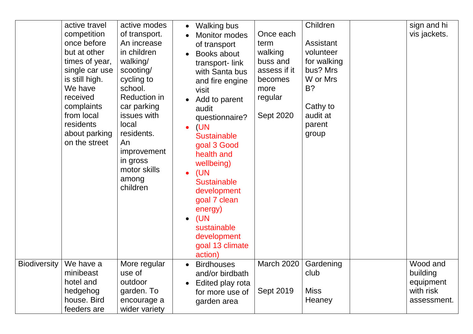|                     | active travel<br>competition<br>once before<br>but at other<br>times of year,<br>single car use<br>is still high.<br>We have<br>received<br>complaints<br>from local<br>residents<br>about parking<br>on the street | active modes<br>of transport.<br>An increase<br>in children<br>walking/<br>scooting/<br>cycling to<br>school.<br><b>Reduction in</b><br>car parking<br>issues with<br>local<br>residents.<br>An<br>improvement<br>in gross<br>motor skills<br>among<br>children | <b>Walking bus</b><br>Monitor modes<br>of transport<br>Books about<br>transport-link<br>with Santa bus<br>and fire engine<br>visit<br>Add to parent<br>audit<br>questionnaire?<br>(UN<br><b>Sustainable</b><br>goal 3 Good<br>health and<br>wellbeing)<br>(UN<br><b>Sustainable</b><br>development<br>goal 7 clean<br>energy)<br>(UN<br>$\bullet$<br>sustainable<br>development<br>goal 13 climate<br>action) | Once each<br>term<br>walking<br>buss and<br>assess if it<br>becomes<br>more<br>regular<br>Sept 2020 | Children<br>Assistant<br>volunteer<br>for walking<br>bus? Mrs<br>W or Mrs<br>B?<br>Cathy to<br>audit at<br>parent<br>group | sign and hi<br>vis jackets.                                   |
|---------------------|---------------------------------------------------------------------------------------------------------------------------------------------------------------------------------------------------------------------|-----------------------------------------------------------------------------------------------------------------------------------------------------------------------------------------------------------------------------------------------------------------|---------------------------------------------------------------------------------------------------------------------------------------------------------------------------------------------------------------------------------------------------------------------------------------------------------------------------------------------------------------------------------------------------------------|-----------------------------------------------------------------------------------------------------|----------------------------------------------------------------------------------------------------------------------------|---------------------------------------------------------------|
| <b>Biodiversity</b> | We have a<br>minibeast<br>hotel and<br>hedgehog<br>house. Bird<br>feeders are                                                                                                                                       | More regular<br>use of<br>outdoor<br>garden. To<br>encourage a<br>wider variety                                                                                                                                                                                 | <b>Birdhouses</b><br>and/or birdbath<br>Edited play rota<br>for more use of<br>garden area                                                                                                                                                                                                                                                                                                                    | <b>March 2020</b><br>Sept 2019                                                                      | Gardening<br>club<br><b>Miss</b><br>Heaney                                                                                 | Wood and<br>building<br>equipment<br>with risk<br>assessment. |